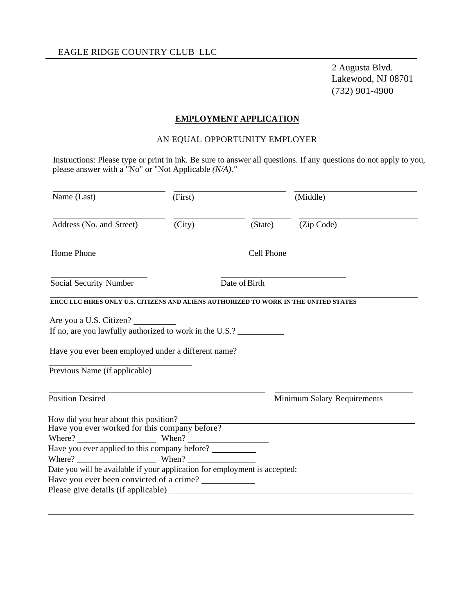#### **EMPLOYMENT APPLICATION**

#### AN EQUAL OPPORTUNITY EMPLOYER

Instructions: Please type or print in ink. Be sure to answer all questions. If any questions do not apply to you, please answer with a "No" or "Not Applicable *(N/A)."* 

| Name (Last)                                                                          | (First) |                   | (Middle)                                                                                             |
|--------------------------------------------------------------------------------------|---------|-------------------|------------------------------------------------------------------------------------------------------|
| Address (No. and Street)                                                             | (City)  | (State)           | (Zip Code)                                                                                           |
| Home Phone                                                                           |         | <b>Cell Phone</b> |                                                                                                      |
| Social Security Number                                                               |         | Date of Birth     |                                                                                                      |
| ERCC LLC HIRES ONLY U.S. CITIZENS AND ALIENS AUTHORIZED TO WORK IN THE UNITED STATES |         |                   |                                                                                                      |
|                                                                                      |         |                   |                                                                                                      |
|                                                                                      |         |                   |                                                                                                      |
| Are you a U.S. Citizen?<br>If no, are you lawfully authorized to work in the U.S.?   |         |                   |                                                                                                      |
| Have you ever been employed under a different name?                                  |         |                   |                                                                                                      |
| Previous Name (if applicable)                                                        |         |                   |                                                                                                      |
| <b>Position Desired</b>                                                              |         |                   | Minimum Salary Requirements                                                                          |
|                                                                                      |         |                   |                                                                                                      |
|                                                                                      |         |                   | Have you ever worked for this company before?                                                        |
| Where? When? When?                                                                   |         |                   |                                                                                                      |
| Have you ever applied to this company before? __________                             |         |                   |                                                                                                      |
| Where? When?                                                                         |         |                   |                                                                                                      |
| Have you ever been convicted of a crime?                                             |         |                   | Date you will be available if your application for employment is accepted: _________________________ |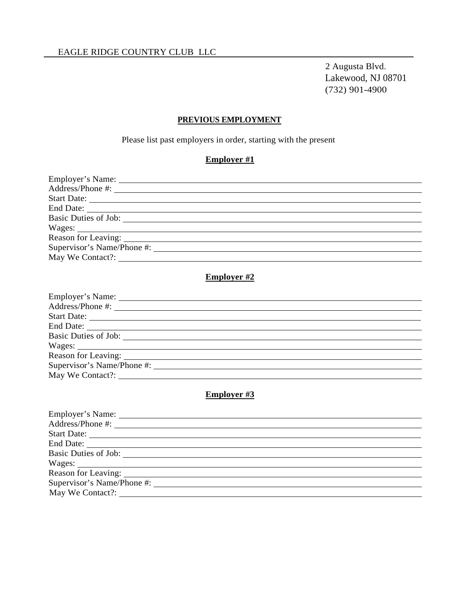#### **PREVIOUS EMPLOYMENT**

Please list past employers in order, starting with the present

## **Employer #1**

| Start Date:                                                                                                                                                                                                                    |  |
|--------------------------------------------------------------------------------------------------------------------------------------------------------------------------------------------------------------------------------|--|
|                                                                                                                                                                                                                                |  |
|                                                                                                                                                                                                                                |  |
| Wages:                                                                                                                                                                                                                         |  |
| Reason for Leaving: University of the contract of the contract of the contract of the contract of the contract of the contract of the contract of the contract of the contract of the contract of the contract of the contract |  |
|                                                                                                                                                                                                                                |  |
|                                                                                                                                                                                                                                |  |

#### **Employer #2**

| Start Date:                |  |
|----------------------------|--|
|                            |  |
|                            |  |
|                            |  |
|                            |  |
| Supervisor's Name/Phone #: |  |
| May We Contact?:           |  |

## **Employer #3**

| Start Date:                                                   |  |
|---------------------------------------------------------------|--|
|                                                               |  |
|                                                               |  |
|                                                               |  |
| Reason for Leaving: University of Leaving Section 2014, 1986. |  |
| Supervisor's Name/Phone #:                                    |  |
| May We Contact?:                                              |  |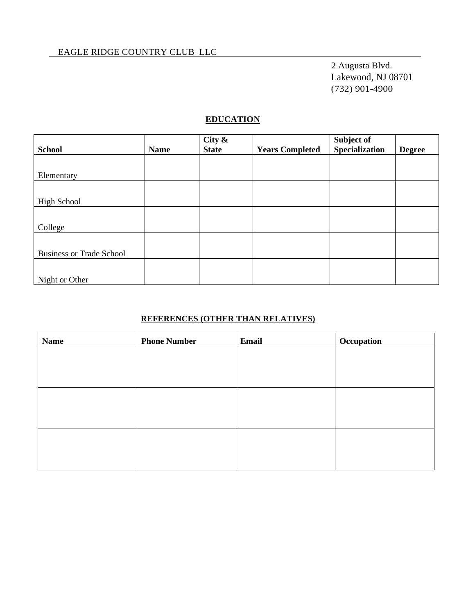#### **EDUCATION**

|                                 |             | City $\&$    |                        | Subject of            |               |
|---------------------------------|-------------|--------------|------------------------|-----------------------|---------------|
| <b>School</b>                   | <b>Name</b> | <b>State</b> | <b>Years Completed</b> | <b>Specialization</b> | <b>Degree</b> |
|                                 |             |              |                        |                       |               |
| Elementary                      |             |              |                        |                       |               |
|                                 |             |              |                        |                       |               |
| High School                     |             |              |                        |                       |               |
|                                 |             |              |                        |                       |               |
| College                         |             |              |                        |                       |               |
|                                 |             |              |                        |                       |               |
| <b>Business or Trade School</b> |             |              |                        |                       |               |
|                                 |             |              |                        |                       |               |
| Night or Other                  |             |              |                        |                       |               |

## **REFERENCES (OTHER THAN RELATIVES)**

| <b>Name</b> | <b>Phone Number</b> | Email | Occupation |
|-------------|---------------------|-------|------------|
|             |                     |       |            |
|             |                     |       |            |
|             |                     |       |            |
|             |                     |       |            |
|             |                     |       |            |
|             |                     |       |            |
|             |                     |       |            |
|             |                     |       |            |
|             |                     |       |            |